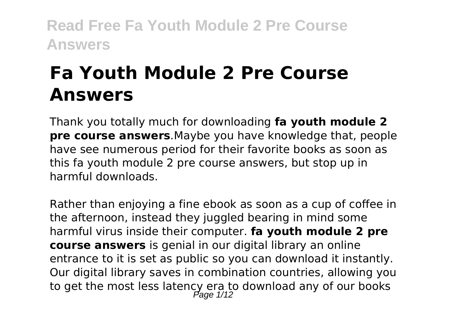# **Fa Youth Module 2 Pre Course Answers**

Thank you totally much for downloading **fa youth module 2 pre course answers**.Maybe you have knowledge that, people have see numerous period for their favorite books as soon as this fa youth module 2 pre course answers, but stop up in harmful downloads.

Rather than enjoying a fine ebook as soon as a cup of coffee in the afternoon, instead they juggled bearing in mind some harmful virus inside their computer. **fa youth module 2 pre course answers** is genial in our digital library an online entrance to it is set as public so you can download it instantly. Our digital library saves in combination countries, allowing you to get the most less latency era to download any of our books<br>Page 1/12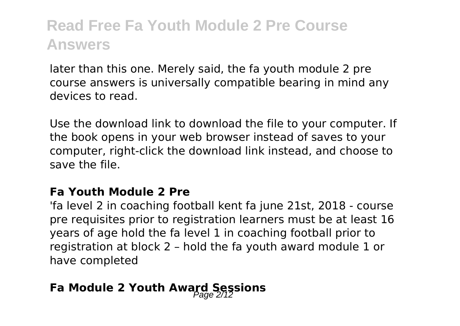later than this one. Merely said, the fa youth module 2 pre course answers is universally compatible bearing in mind any devices to read.

Use the download link to download the file to your computer. If the book opens in your web browser instead of saves to your computer, right-click the download link instead, and choose to save the file.

#### **Fa Youth Module 2 Pre**

'fa level 2 in coaching football kent fa june 21st, 2018 - course pre requisites prior to registration learners must be at least 16 years of age hold the fa level 1 in coaching football prior to registration at block 2 – hold the fa youth award module 1 or have completed

### **Fa Module 2 Youth Award Sessions**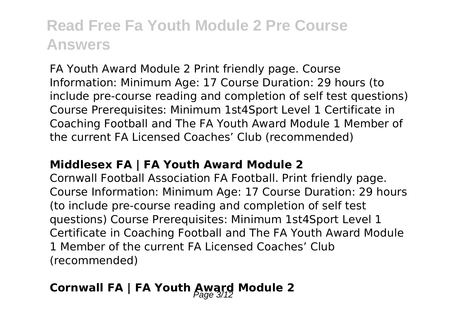FA Youth Award Module 2 Print friendly page. Course Information: Minimum Age: 17 Course Duration: 29 hours (to include pre-course reading and completion of self test questions) Course Prerequisites: Minimum 1st4Sport Level 1 Certificate in Coaching Football and The FA Youth Award Module 1 Member of the current FA Licensed Coaches' Club (recommended)

#### **Middlesex FA | FA Youth Award Module 2**

Cornwall Football Association FA Football. Print friendly page. Course Information: Minimum Age: 17 Course Duration: 29 hours (to include pre-course reading and completion of self test questions) Course Prerequisites: Minimum 1st4Sport Level 1 Certificate in Coaching Football and The FA Youth Award Module 1 Member of the current FA Licensed Coaches' Club (recommended)

### **Cornwall FA | FA Youth Award Module 2**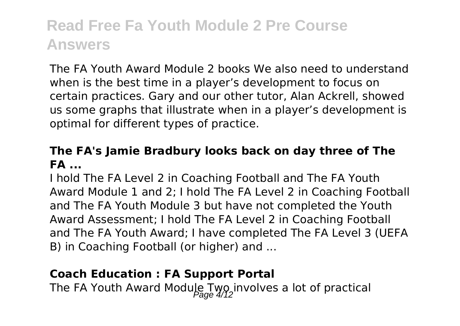The FA Youth Award Module 2 books We also need to understand when is the best time in a player's development to focus on certain practices. Gary and our other tutor, Alan Ackrell, showed us some graphs that illustrate when in a player's development is optimal for different types of practice.

#### **The FA's Jamie Bradbury looks back on day three of The FA ...**

I hold The FA Level 2 in Coaching Football and The FA Youth Award Module 1 and 2; I hold The FA Level 2 in Coaching Football and The FA Youth Module 3 but have not completed the Youth Award Assessment; I hold The FA Level 2 in Coaching Football and The FA Youth Award; I have completed The FA Level 3 (UEFA B) in Coaching Football (or higher) and ...

#### **Coach Education : FA Support Portal**

The FA Youth Award Module Two involves a lot of practical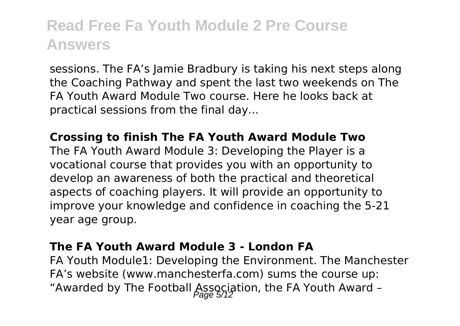sessions. The FA's Jamie Bradbury is taking his next steps along the Coaching Pathway and spent the last two weekends on The FA Youth Award Module Two course. Here he looks back at practical sessions from the final day...

#### **Crossing to finish The FA Youth Award Module Two**

The FA Youth Award Module 3: Developing the Player is a vocational course that provides you with an opportunity to develop an awareness of both the practical and theoretical aspects of coaching players. It will provide an opportunity to improve your knowledge and confidence in coaching the 5-21 year age group.

#### **The FA Youth Award Module 3 - London FA**

FA Youth Module1: Developing the Environment. The Manchester FA's website (www.manchesterfa.com) sums the course up: "Awarded by The Football Association, the FA Youth Award -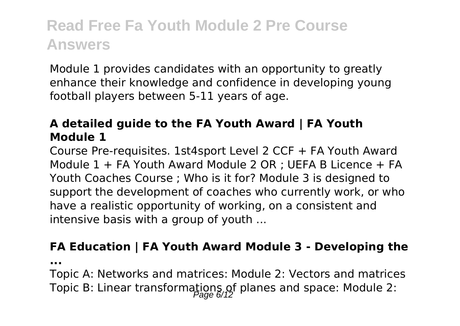Module 1 provides candidates with an opportunity to greatly enhance their knowledge and confidence in developing young football players between 5-11 years of age.

#### **A detailed guide to the FA Youth Award | FA Youth Module 1**

Course Pre-requisites. 1st4sport Level 2 CCF + FA Youth Award Module 1 + FA Youth Award Module 2 OR ; UEFA B Licence + FA Youth Coaches Course ; Who is it for? Module 3 is designed to support the development of coaches who currently work, or who have a realistic opportunity of working, on a consistent and intensive basis with a group of youth ...

#### **FA Education | FA Youth Award Module 3 - Developing the**

**...**

Topic A: Networks and matrices: Module 2: Vectors and matrices Topic B: Linear transformations of planes and space: Module 2: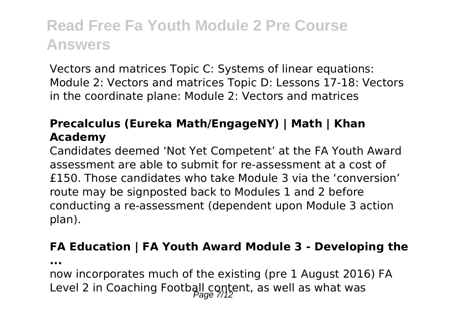Vectors and matrices Topic C: Systems of linear equations: Module 2: Vectors and matrices Topic D: Lessons 17-18: Vectors in the coordinate plane: Module 2: Vectors and matrices

#### **Precalculus (Eureka Math/EngageNY) | Math | Khan Academy**

Candidates deemed 'Not Yet Competent' at the FA Youth Award assessment are able to submit for re-assessment at a cost of £150. Those candidates who take Module 3 via the 'conversion' route may be signposted back to Modules 1 and 2 before conducting a re-assessment (dependent upon Module 3 action plan).

#### **FA Education | FA Youth Award Module 3 - Developing the**

**...**

now incorporates much of the existing (pre 1 August 2016) FA Level 2 in Coaching Football content, as well as what was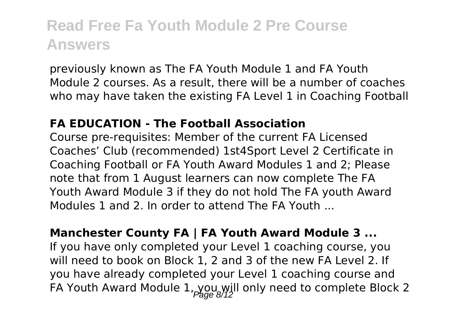previously known as The FA Youth Module 1 and FA Youth Module 2 courses. As a result, there will be a number of coaches who may have taken the existing FA Level 1 in Coaching Football

#### **FA EDUCATION - The Football Association**

Course pre-requisites: Member of the current FA Licensed Coaches' Club (recommended) 1st4Sport Level 2 Certificate in Coaching Football or FA Youth Award Modules 1 and 2; Please note that from 1 August learners can now complete The FA Youth Award Module 3 if they do not hold The FA youth Award Modules 1 and 2. In order to attend The FA Youth

**Manchester County FA | FA Youth Award Module 3 ...** If you have only completed your Level 1 coaching course, you will need to book on Block 1, 2 and 3 of the new FA Level 2. If you have already completed your Level 1 coaching course and FA Youth Award Module  $1,$  you will only need to complete Block 2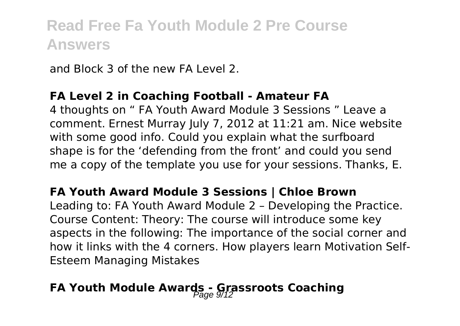and Block 3 of the new FA Level 2.

#### **FA Level 2 in Coaching Football - Amateur FA**

4 thoughts on " FA Youth Award Module 3 Sessions " Leave a comment. Ernest Murray July 7, 2012 at 11:21 am. Nice website with some good info. Could you explain what the surfboard shape is for the 'defending from the front' and could you send me a copy of the template you use for your sessions. Thanks, E.

#### **FA Youth Award Module 3 Sessions | Chloe Brown**

Leading to: FA Youth Award Module 2 – Developing the Practice. Course Content: Theory: The course will introduce some key aspects in the following: The importance of the social corner and how it links with the 4 corners. How players learn Motivation Self-Esteem Managing Mistakes

### **FA Youth Module Awards - Grassroots Coaching**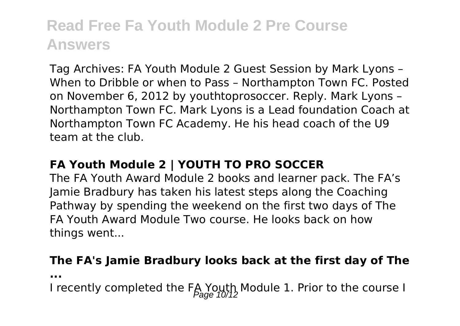Tag Archives: FA Youth Module 2 Guest Session by Mark Lyons – When to Dribble or when to Pass – Northampton Town FC. Posted on November 6, 2012 by youthtoprosoccer. Reply. Mark Lyons – Northampton Town FC. Mark Lyons is a Lead foundation Coach at Northampton Town FC Academy. He his head coach of the U9 team at the club.

#### **FA Youth Module 2 | YOUTH TO PRO SOCCER**

The FA Youth Award Module 2 books and learner pack. The FA's Jamie Bradbury has taken his latest steps along the Coaching Pathway by spending the weekend on the first two days of The FA Youth Award Module Two course. He looks back on how things went...

### **The FA's Jamie Bradbury looks back at the first day of The**

**...**

I recently completed the FA Youth Module 1. Prior to the course I